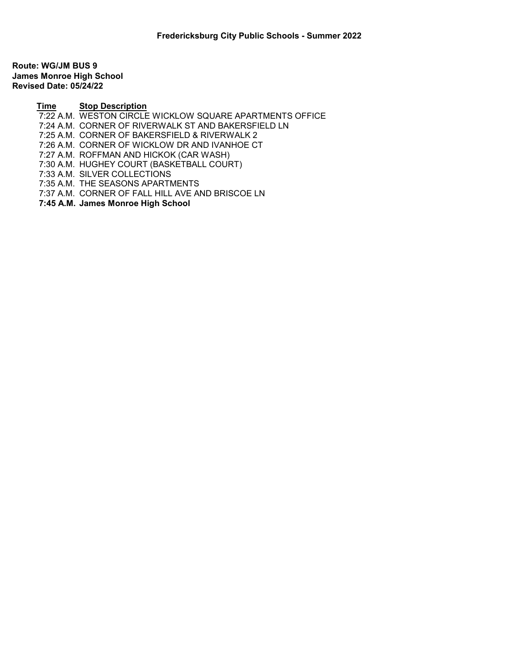Route: WG/JM BUS 9 James Monroe High School Revised Date: 05/24/22

Time Stop Description

- 7:22 A.M. WESTON CIRCLE WICKLOW SQUARE APARTMENTS OFFICE
- 7:24 A.M. CORNER OF RIVERWALK ST AND BAKERSFIELD LN
- 7:25 A.M. CORNER OF BAKERSFIELD & RIVERWALK 2
- 7:26 A.M. CORNER OF WICKLOW DR AND IVANHOE CT
- 7:27 A.M. ROFFMAN AND HICKOK (CAR WASH)
- 7:30 A.M. HUGHEY COURT (BASKETBALL COURT)
- 7:33 A.M. SILVER COLLECTIONS
- 7:35 A.M. THE SEASONS APARTMENTS
- 7:37 A.M. CORNER OF FALL HILL AVE AND BRISCOE LN
- 7:45 A.M. James Monroe High School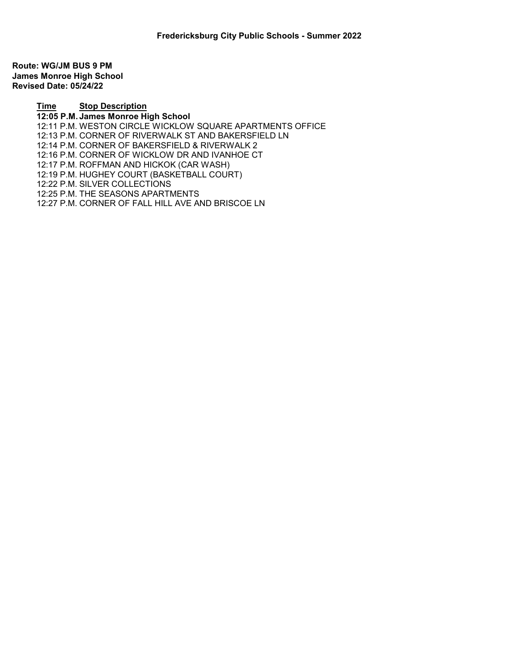Route: WG/JM BUS 9 PM James Monroe High School Revised Date: 05/24/22

> Time Stop Description 12:05 P.M. James Monroe High School 12:11 P.M. WESTON CIRCLE WICKLOW SQUARE APARTMENTS OFFICE 12:13 P.M. CORNER OF RIVERWALK ST AND BAKERSFIELD LN 12:14 P.M. CORNER OF BAKERSFIELD & RIVERWALK 2 12:16 P.M. CORNER OF WICKLOW DR AND IVANHOE CT 12:17 P.M. ROFFMAN AND HICKOK (CAR WASH) 12:19 P.M. HUGHEY COURT (BASKETBALL COURT) 12:22 P.M. SILVER COLLECTIONS 12:25 P.M. THE SEASONS APARTMENTS 12:27 P.M. CORNER OF FALL HILL AVE AND BRISCOE LN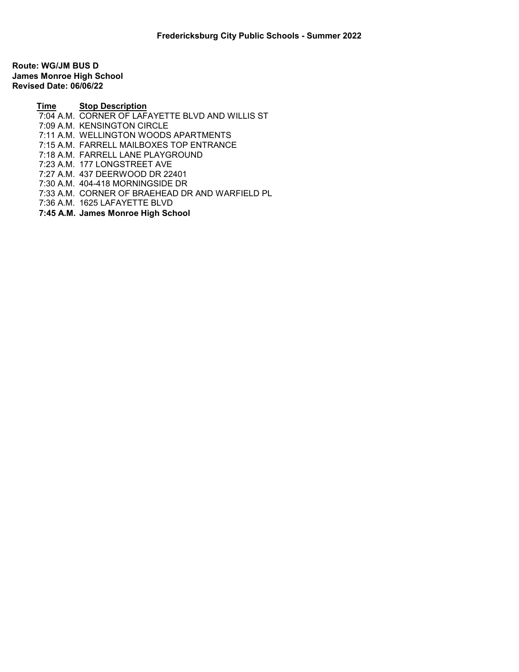Route: WG/JM BUS D James Monroe High School Revised Date: 06/06/22

> Time Stop Description 7:04 A.M. CORNER OF LAFAYETTE BLVD AND WILLIS ST 7:09 A.M. KENSINGTON CIRCLE 7:11 A.M. WELLINGTON WOODS APARTMENTS 7:15 A.M. FARRELL MAILBOXES TOP ENTRANCE 7:18 A.M. FARRELL LANE PLAYGROUND 7:23 A.M. 177 LONGSTREET AVE 7:27 A.M. 437 DEERWOOD DR 22401 7:30 A.M. 404-418 MORNINGSIDE DR 7:33 A.M. CORNER OF BRAEHEAD DR AND WARFIELD PL 7:36 A.M. 1625 LAFAYETTE BLVD

7:45 A.M. James Monroe High School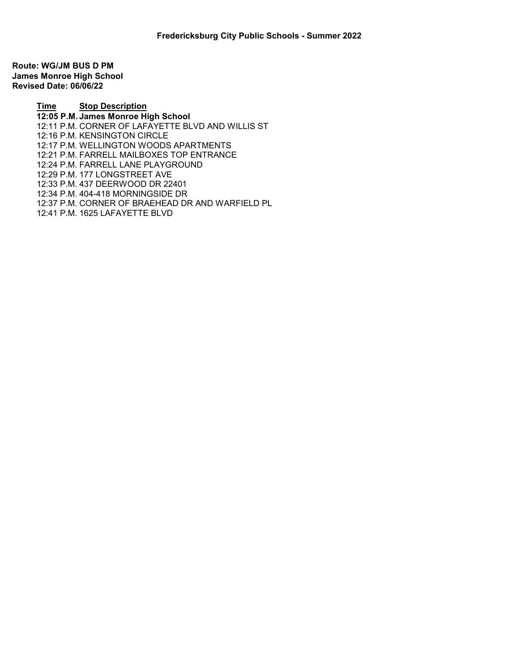Route: WG/JM BUS D PM James Monroe High School Revised Date: 06/06/22

> Time Stop Description 12:05 P.M. James Monroe High School 12:11 P.M. CORNER OF LAFAYETTE BLVD AND WILLIS ST 12:16 P.M. KENSINGTON CIRCLE 12:17 P.M. WELLINGTON WOODS APARTMENTS 12:21 P.M. FARRELL MAILBOXES TOP ENTRANCE 12:24 P.M. FARRELL LANE PLAYGROUND 12:29 P.M. 177 LONGSTREET AVE 12:33 P.M. 437 DEERWOOD DR 22401 12:34 P.M. 404-418 MORNINGSIDE DR 12:37 P.M. CORNER OF BRAEHEAD DR AND WARFIELD PL 12:41 P.M. 1625 LAFAYETTE BLVD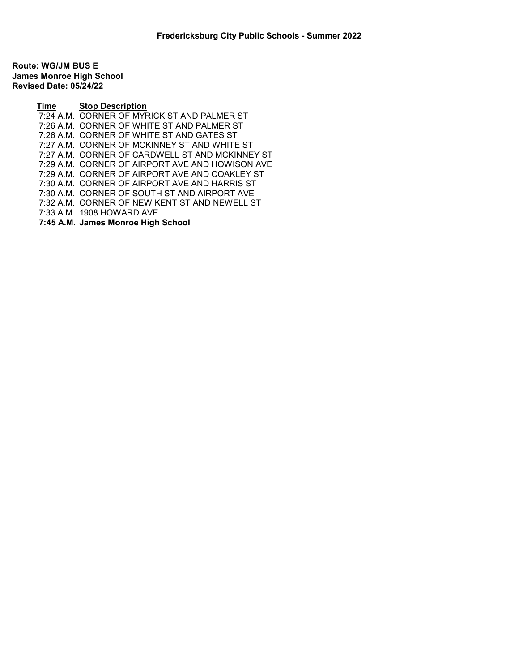Route: WG/JM BUS E James Monroe High School Revised Date: 05/24/22

> Time Stop Description 7:24 A.M. CORNER OF MYRICK ST AND PALMER ST 7:26 A.M. CORNER OF WHITE ST AND PALMER ST 7:26 A.M. CORNER OF WHITE ST AND GATES ST 7:27 A.M. CORNER OF MCKINNEY ST AND WHITE ST 7:27 A.M. CORNER OF CARDWELL ST AND MCKINNEY ST 7:29 A.M. CORNER OF AIRPORT AVE AND HOWISON AVE 7:29 A.M. CORNER OF AIRPORT AVE AND COAKLEY ST 7:30 A.M. CORNER OF AIRPORT AVE AND HARRIS ST 7:30 A.M. CORNER OF SOUTH ST AND AIRPORT AVE 7:32 A.M. CORNER OF NEW KENT ST AND NEWELL ST 7:33 A.M. 1908 HOWARD AVE 7:45 A.M. James Monroe High School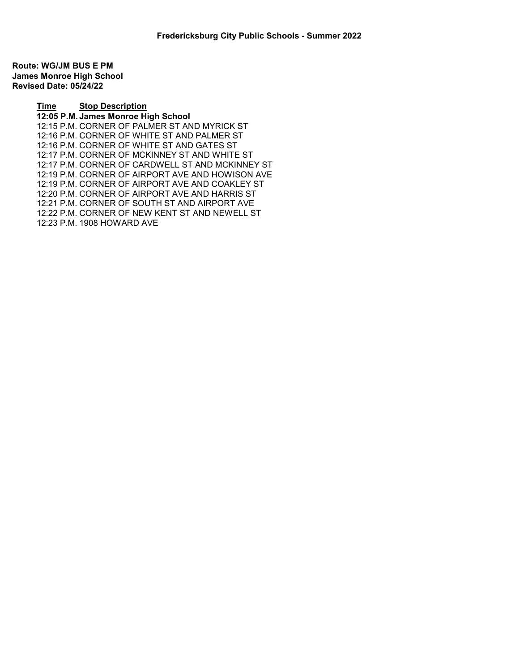Route: WG/JM BUS E PM James Monroe High School Revised Date: 05/24/22

> Time Stop Description 12:05 P.M. James Monroe High School 12:15 P.M. CORNER OF PALMER ST AND MYRICK ST 12:16 P.M. CORNER OF WHITE ST AND PALMER ST 12:16 P.M. CORNER OF WHITE ST AND GATES ST 12:17 P.M. CORNER OF MCKINNEY ST AND WHITE ST 12:17 P.M. CORNER OF CARDWELL ST AND MCKINNEY ST 12:19 P.M. CORNER OF AIRPORT AVE AND HOWISON AVE 12:19 P.M. CORNER OF AIRPORT AVE AND COAKLEY ST 12:20 P.M. CORNER OF AIRPORT AVE AND HARRIS ST 12:21 P.M. CORNER OF SOUTH ST AND AIRPORT AVE 12:22 P.M. CORNER OF NEW KENT ST AND NEWELL ST 12:23 P.M. 1908 HOWARD AVE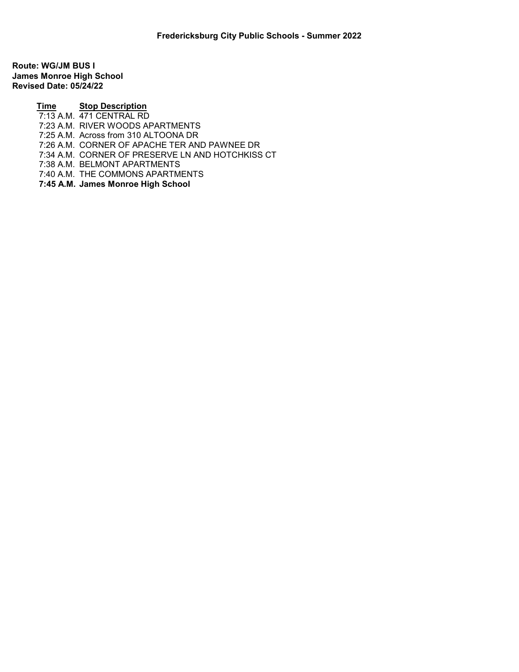Route: WG/JM BUS I James Monroe High School Revised Date: 05/24/22

> Time Stop Description Transaction of the Story Boson Priori 7:23 A.M. RIVER WOODS APARTMENTS 7:25 A.M. Across from 310 ALTOONA DR 7:26 A.M. CORNER OF APACHE TER AND PAWNEE DR 7:34 A.M. CORNER OF PRESERVE LN AND HOTCHKISS CT 7:38 A.M. BELMONT APARTMENTS 7:40 A.M. THE COMMONS APARTMENTS 7:45 A.M. James Monroe High School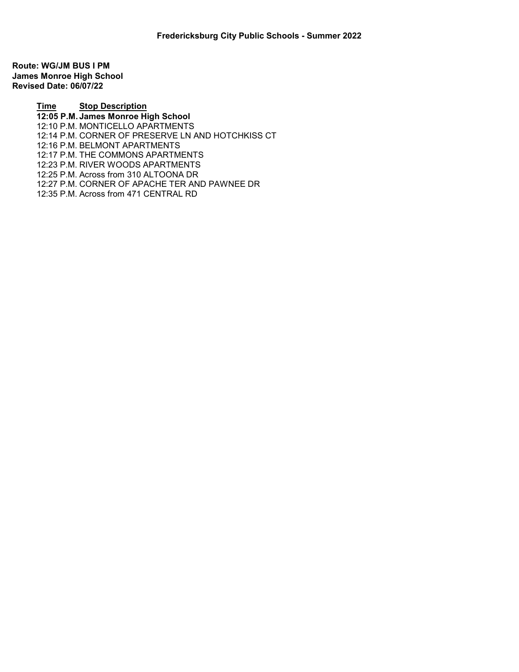Route: WG/JM BUS I PM James Monroe High School Revised Date: 06/07/22

> Time Stop Description 12:05 P.M. James Monroe High School 12:10 P.M. MONTICELLO APARTMENTS 12:14 P.M. CORNER OF PRESERVE LN AND HOTCHKISS CT 12:16 P.M. BELMONT APARTMENTS 12:17 P.M. THE COMMONS APARTMENTS 12:23 P.M. RIVER WOODS APARTMENTS 12:25 P.M. Across from 310 ALTOONA DR 12:27 P.M. CORNER OF APACHE TER AND PAWNEE DR 12:35 P.M. Across from 471 CENTRAL RD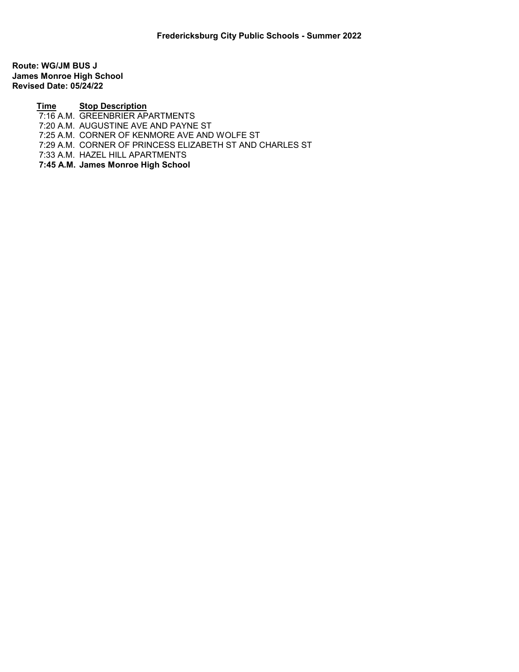Route: WG/JM BUS J James Monroe High School Revised Date: 05/24/22

> Time Stop Description <u>FILM STREED FILM FILM</u><br>7:16 A.M. GREENBRIER APARTMENTS

7:20 A.M. AUGUSTINE AVE AND PAYNE ST

7:25 A.M. CORNER OF KENMORE AVE AND WOLFE ST

7:29 A.M. CORNER OF PRINCESS ELIZABETH ST AND CHARLES ST

7:33 A.M. HAZEL HILL APARTMENTS

7:45 A.M. James Monroe High School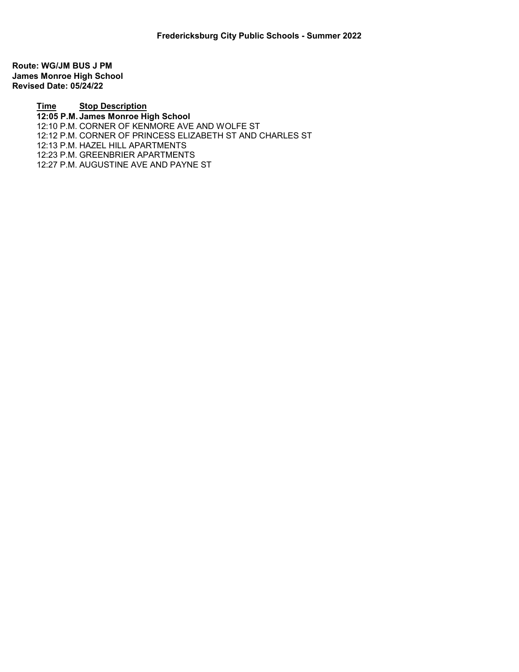Route: WG/JM BUS J PM James Monroe High School Revised Date: 05/24/22

> Time Stop Description 12:05 P.M. James Monroe High School 12:10 P.M. CORNER OF KENMORE AVE AND WOLFE ST 12:12 P.M. CORNER OF PRINCESS ELIZABETH ST AND CHARLES ST 12:13 P.M. HAZEL HILL APARTMENTS 12:23 P.M. GREENBRIER APARTMENTS 12:27 P.M. AUGUSTINE AVE AND PAYNE ST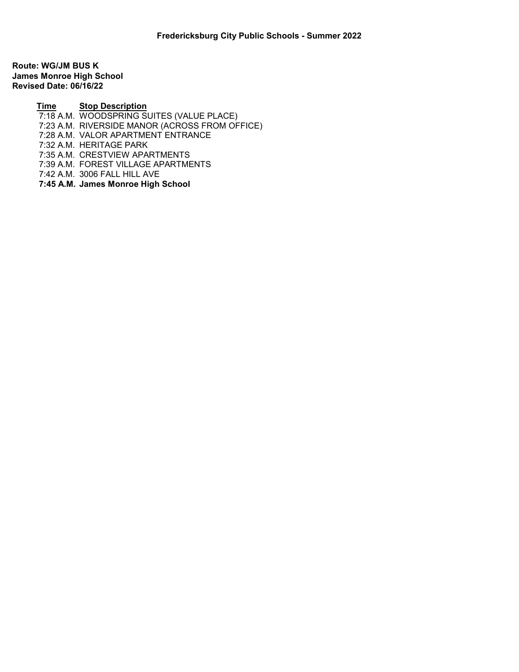Route: WG/JM BUS K James Monroe High School Revised Date: 06/16/22

> Time Stop Description **THE A.M. WOODSPRING SUITES (VALUE PLACE)**  7:23 A.M. RIVERSIDE MANOR (ACROSS FROM OFFICE) 7:28 A.M. VALOR APARTMENT ENTRANCE 7:32 A.M. HERITAGE PARK 7:35 A.M. CRESTVIEW APARTMENTS 7:39 A.M. FOREST VILLAGE APARTMENTS 7:42 A.M. 3006 FALL HILL AVE 7:45 A.M. James Monroe High School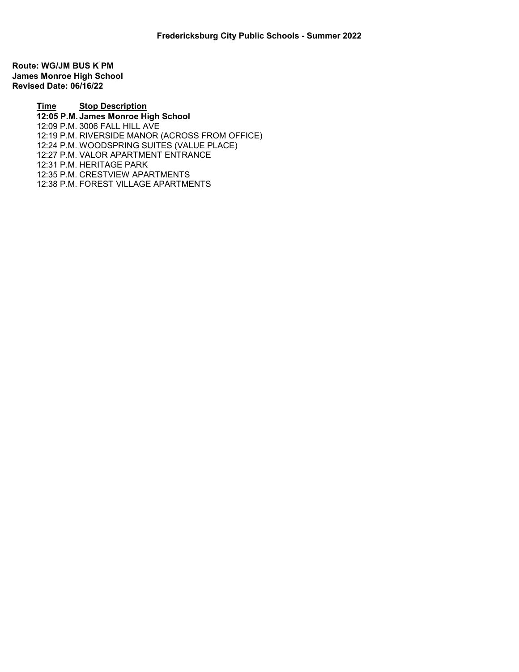Route: WG/JM BUS K PM James Monroe High School Revised Date: 06/16/22

> Time Stop Description 12:05 P.M. James Monroe High School 12:09 P.M. 3006 FALL HILL AVE 12:19 P.M. RIVERSIDE MANOR (ACROSS FROM OFFICE) 12:24 P.M. WOODSPRING SUITES (VALUE PLACE) 12:27 P.M. VALOR APARTMENT ENTRANCE 12:31 P.M. HERITAGE PARK 12:35 P.M. CRESTVIEW APARTMENTS 12:38 P.M. FOREST VILLAGE APARTMENTS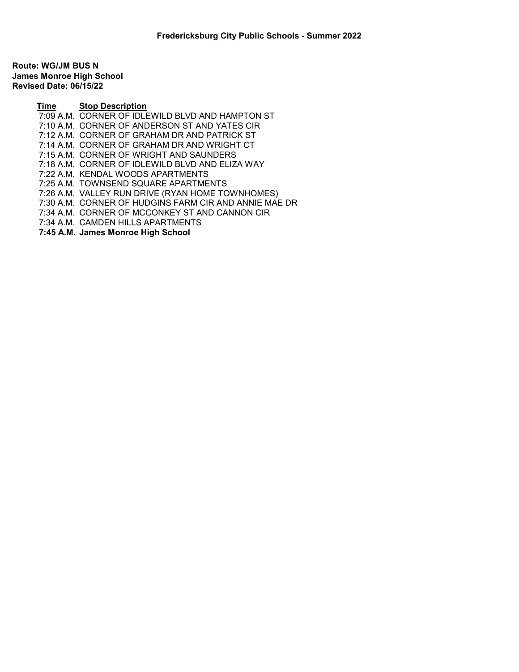Route: WG/JM BUS N James Monroe High School Revised Date: 06/15/22

> Time Stop Description 7:09 A.M. CORNER OF IDLEWILD BLVD AND HAMPTON ST 7:10 A.M. CORNER OF ANDERSON ST AND YATES CIR 7:12 A.M. CORNER OF GRAHAM DR AND PATRICK ST 7:14 A.M. CORNER OF GRAHAM DR AND WRIGHT CT 7:15 A.M. CORNER OF WRIGHT AND SAUNDERS 7:18 A.M. CORNER OF IDLEWILD BLVD AND ELIZA WAY 7:22 A.M. KENDAL WOODS APARTMENTS 7:25 A.M. TOWNSEND SQUARE APARTMENTS 7:26 A.M. VALLEY RUN DRIVE (RYAN HOME TOWNHOMES) 7:30 A.M. CORNER OF HUDGINS FARM CIR AND ANNIE MAE DR 7:34 A.M. CORNER OF MCCONKEY ST AND CANNON CIR 7:34 A.M. CAMDEN HILLS APARTMENTS 7:45 A.M. James Monroe High School